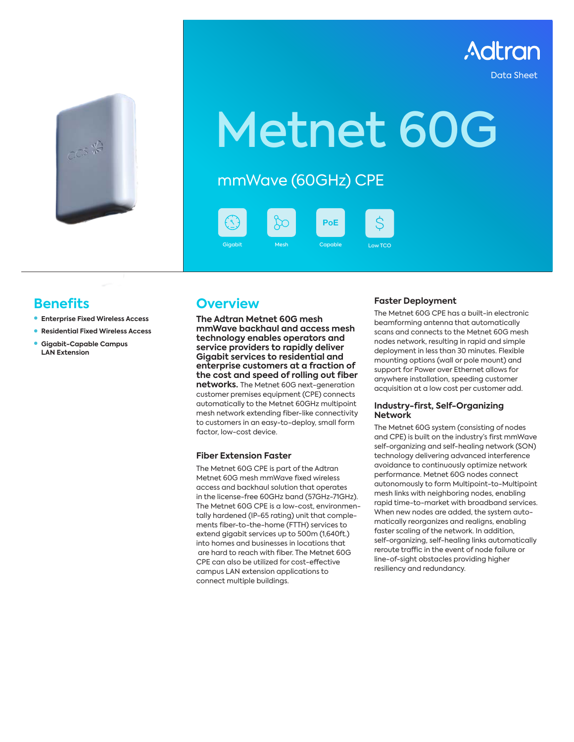

Data Sheet



# Metnet 60G

mmWave (60GHz) CPE



### **Benefits**

- **Enterprise Fixed Wireless Access**
- z **Residential Fixed Wireless Access**
- z **Gigabit-Capable Campus LAN Extension**

### **Overview**

**The Adtran Metnet 60G mesh mmWave backhaul and access mesh technology enables operators and service providers to rapidly deliver Gigabit services to residential and enterprise customers at a fraction of the cost and speed of rolling out fiber networks.** The Metnet 60G next-generation customer premises equipment (CPE) connects automatically to the Metnet 60GHz multipoint mesh network extending fiber-like connectivity to customers in an easy-to-deploy, small form factor, low-cost device.

### **Fiber Extension Faster**

The Metnet 60G CPE is part of the Adtran Metnet 60G mesh mmWave fixed wireless access and backhaul solution that operates in the license-free 60GHz band (57GHz-71GHz). The Metnet 60G CPE is a low-cost, environmentally hardened (IP-65 rating) unit that complements fiber-to-the-home (FTTH) services to extend gigabit services up to 500m (1,640ft.) into homes and businesses in locations that are hard to reach with fiber. The Metnet 60G CPE can also be utilized for cost-effective campus LAN extension applications to connect multiple buildings.

### **Faster Deployment**

The Metnet 60G CPE has a built-in electronic beamforming antenna that automatically scans and connects to the Metnet 60G mesh nodes network, resulting in rapid and simple deployment in less than 30 minutes. Flexible mounting options (wall or pole mount) and support for Power over Ethernet allows for anywhere installation, speeding customer acquisition at a low cost per customer add.

### **Industry-first, Self-Organizing Network**

The Metnet 60G system (consisting of nodes and CPE) is built on the industry's first mmWave self-organizing and self-healing network (SON) technology delivering advanced interference avoidance to continuously optimize network performance. Metnet 60G nodes connect autonomously to form Multipoint-to-Multipoint mesh links with neighboring nodes, enabling rapid time-to-market with broadband services. When new nodes are added, the system automatically reorganizes and realigns, enabling faster scaling of the network. In addition, self-organizing, self-healing links automatically reroute traffic in the event of node failure or line-of-sight obstacles providing higher resiliency and redundancy.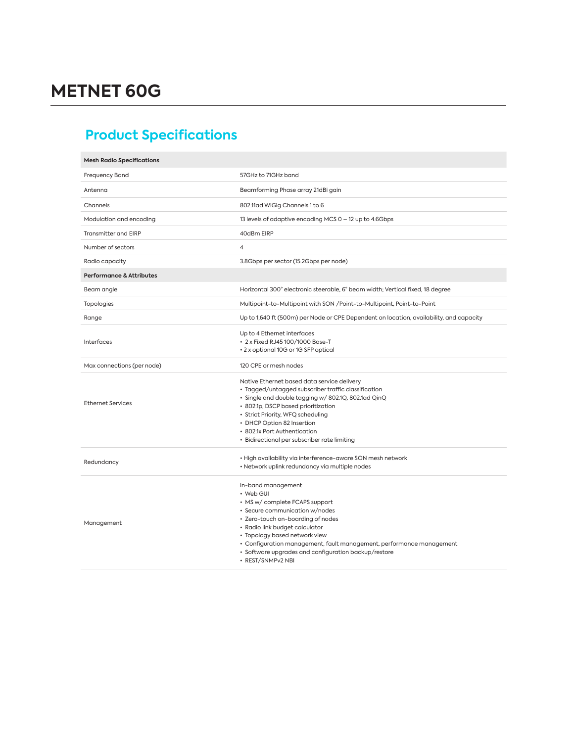## **Product Specifications**

| <b>Mesh Radio Specifications</b>    |                                                                                                                                                                                                                                                                                                                                                                  |  |
|-------------------------------------|------------------------------------------------------------------------------------------------------------------------------------------------------------------------------------------------------------------------------------------------------------------------------------------------------------------------------------------------------------------|--|
| <b>Frequency Band</b>               | 57GHz to 71GHz band                                                                                                                                                                                                                                                                                                                                              |  |
| Antenna                             | Beamforming Phase array 21dBi gain                                                                                                                                                                                                                                                                                                                               |  |
| Channels                            | 802.11ad WiGig Channels 1 to 6                                                                                                                                                                                                                                                                                                                                   |  |
| Modulation and encoding             | 13 levels of adaptive encoding MCS 0 - 12 up to 4.6Gbps                                                                                                                                                                                                                                                                                                          |  |
| <b>Transmitter and EIRP</b>         | 40dBm EIRP                                                                                                                                                                                                                                                                                                                                                       |  |
| Number of sectors                   | $\overline{4}$                                                                                                                                                                                                                                                                                                                                                   |  |
| Radio capacity                      | 3.8Gbps per sector (15.2Gbps per node)                                                                                                                                                                                                                                                                                                                           |  |
| <b>Performance &amp; Attributes</b> |                                                                                                                                                                                                                                                                                                                                                                  |  |
| Beam angle                          | Horizontal 300° electronic steerable, 6° beam width; Vertical fixed, 18 degree                                                                                                                                                                                                                                                                                   |  |
| Topologies                          | Multipoint-to-Multipoint with SON /Point-to-Multipoint, Point-to-Point                                                                                                                                                                                                                                                                                           |  |
| Range                               | Up to 1,640 ft (500m) per Node or CPE Dependent on location, availability, and capacity                                                                                                                                                                                                                                                                          |  |
| Interfaces                          | Up to 4 Ethernet interfaces<br>• 2 x Fixed RJ45 100/1000 Base-T<br>• 2 x optional 10G or 1G SFP optical                                                                                                                                                                                                                                                          |  |
| Max connections (per node)          | 120 CPE or mesh nodes                                                                                                                                                                                                                                                                                                                                            |  |
| <b>Ethernet Services</b>            | Native Ethernet based data service delivery<br>• Tagged/untagged subscriber traffic classification<br>· Single and double tagging w/802.1Q, 802.1ad QinQ<br>• 802.1p, DSCP based prioritization<br>• Strict Priority, WFQ scheduling<br>• DHCP Option 82 Insertion<br>• 802.1x Port Authentication<br>• Bidirectional per subscriber rate limiting               |  |
| Redundancy                          | • High availability via interference-aware SON mesh network<br>• Network uplink redundancy via multiple nodes                                                                                                                                                                                                                                                    |  |
| Management                          | In-band management<br>• Web GUI<br>• MS w/ complete FCAPS support<br>• Secure communication w/nodes<br>• Zero-touch on-boarding of nodes<br>• Radio link budget calculator<br>• Topology based network view<br>• Configuration management, fault management, performance management<br>· Software upgrades and configuration backup/restore<br>· REST/SNMPv2 NBI |  |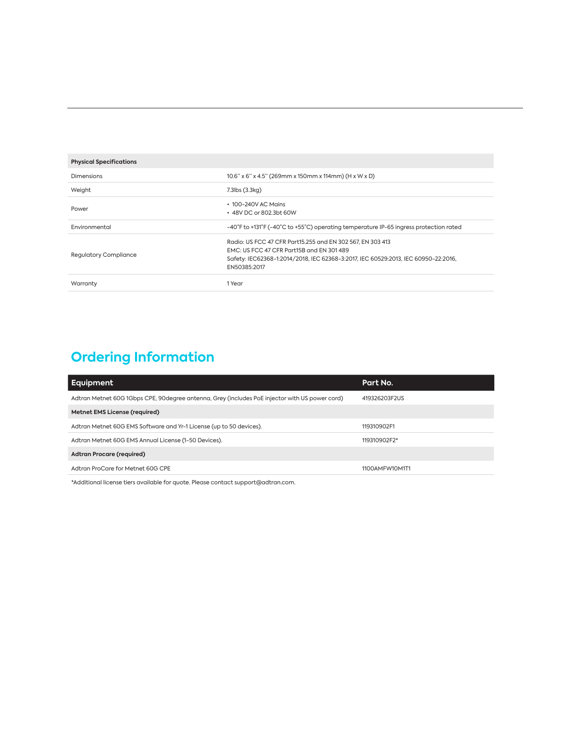| <b>Physical Specifications</b> |                                                                                                                                                                                                               |  |
|--------------------------------|---------------------------------------------------------------------------------------------------------------------------------------------------------------------------------------------------------------|--|
| Dimensions                     | $10.6$ " x 6" x 4.5" (269mm x 150mm x 114mm) (H x W x D)                                                                                                                                                      |  |
| Weight                         | 7.3lbs (3.3kg)                                                                                                                                                                                                |  |
| Power                          | $\cdot$ 100-240V AC Mains<br>• 48V DC or 802.3bt 60W                                                                                                                                                          |  |
| Environmental                  | -40°F to +131°F (-40°C to +55°C) operating temperature IP-65 ingress protection rated                                                                                                                         |  |
| <b>Requlatory Compliance</b>   | Radio: US FCC 47 CFR Part15.255 and EN 302 567, EN 303 413<br>EMC: US FCC 47 CFR Part15B and EN 301 489<br>Safety: IEC62368-1:2014/2018, IEC 62368-3:2017, IEC 60529:2013, IEC 60950-22:2016,<br>EN50385:2017 |  |
| Warranty                       | 1 Year                                                                                                                                                                                                        |  |

### **Ordering Information**

| Equipment                                                                                      | Part No.       |  |
|------------------------------------------------------------------------------------------------|----------------|--|
| Adtran Metnet 60G 1Gbps CPE, 90degree antenna, Grey (includes PoE injector with US power cord) | 419326203F2US  |  |
| Metnet EMS License (required)                                                                  |                |  |
| Adtran Metnet 60G EMS Software and Yr-1 License (up to 50 devices).                            | 119310902F1    |  |
| Adtran Metnet 60G EMS Annual License (1-50 Devices).                                           | 119310902F2*   |  |
| <b>Adtran Procare (required)</b>                                                               |                |  |
| Adtran ProCare for Metnet 60G CPE                                                              | 1100AMFW10M1T1 |  |

\*Additional license tiers available for quote. Please contact support@adtran.com.